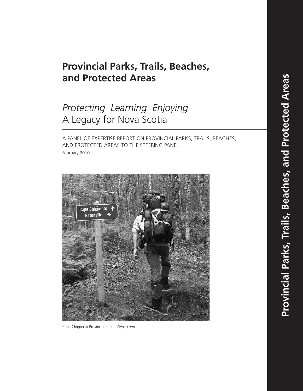## **Provincial Parks, Trails, Beaches,** and Protected Areas

# *Protecting Learning Enjoying* A Legacy for Nova Scotia

A PANEL OF EXPERTISE REPORT ON PROVINCIAL PARKS, TRAILS, BEACHES, AND PROTECTED AREAS TO THE STEERING PANEL February 2010



Cape Chignecto Provincial Park-Gerry Lunn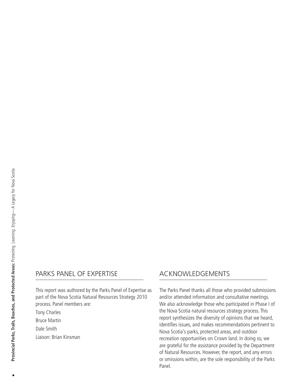## PARKS PANEL OF EXPERTISE

This report was authored by the Parks Panel of Expertise as part of the Nova Scotia Natural Resources Strategy 2010 process. Panel members are:

Tony Charles

Bruce Martin

Dale Smith

Liaison: Brian Kinsman

## ACKNOWLEDGEMENTS

The Parks Panel thanks all those who provided submissions and/or attended information and consultative meetings. We also acknowledge those who participated in Phase I of the Nova Scotia natural resources strategy process. This report synthesizes the diversity of opinions that we heard, identifies issues, and makes recommendations pertinent to Nova Scotia's parks, protected areas, and outdoor recreation opportunities on Crown land. In doing so, we are grateful for the assistance provided by the Department of Natural Resources. However, the report, and any errors or omissions within, are the sole responsibility of the Parks Panel.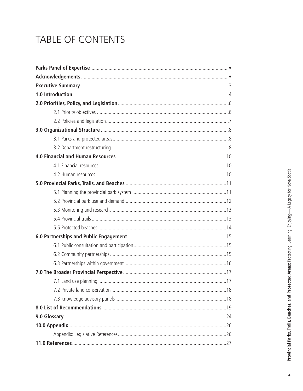# TABLE OF CONTENTS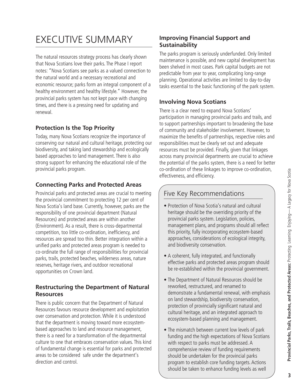# EXECUTIVE SUMMARY

The natural resources strategy process has clearly shown that Nova Scotians love their parks. The Phase I report notes: "Nova Scotians see parks as a valued connection to the natural world and a necessary recreational and economic resource; parks form an integral component of a healthy environment and healthy lifestyle." However, the provincial parks system has not kept pace with changing times, and there is a pressing need for updating and renewal.

## **Protection Is the Top Priority**

Today, many Nova Scotians recognize the importance of conserving our natural and cultural heritage, protecting our biodiversity, and taking land stewardship and ecologically based approaches to land management. There is also strong support for enhancing the educational role of the provincial parks program.

## **Connecting Parks and Protected Areas**

Provincial parks and protected areas are crucial to meeting the provincial commitment to protecting 12 per cent of Nova Scotia's land base. Currently, however, parks are the responsibility of one provincial department (Natural Resources) and protected areas are within another (Environment). As a result, there is cross-departmental competition, too little co-ordination, inefficiency, and resources are spread too thin. Better integration within a unified parks and protected areas program is needed to co-ordinate the full range of responsibilities for provincial parks, trails, protected beaches, wilderness areas, nature reserves, heritage rivers, and outdoor recreational opportunities on Crown land.

### **Restructuring the Department of Natural Resources**

There is public concern that the Department of Natural Resources favours resource development and exploitation over conservation and protection.While it is understood that the department is moving toward more ecosystembased approaches to land and resource management, there is a need for a transformation of the departmental culture to one that embraces conservation values. This kind of fundamental change is essential for parks and protected areas to be considered safe under the department's direction and control.

### **Improving Financial Support and Sustainability**

The parks program is seriously underfunded. Only limited maintenance is possible, and new capital development has been shelved in most cases. Park capital budgets are not predictable from year to year, complicating long-range planning. Operational activities are limited to day-to-day tasks essential to the basic functioning of the park system.

## **Involving Nova Scotians**

There is a clear need to expand Nova Scotians' participation in managing provincial parks and trails, and to support partnerships important to broadening the base of community and stakeholder involvement. However, to maximize the benefits of partnerships, respective roles and responsibilities must be clearly set out and adequate resources must be provided. Finally, given that linkages across many provincial departments are crucial to achieve the potential of the parks system, there is a need for better co-ordination of these linkages to improve co-ordination, effectiveness, and efficiency.

## Five Key Recommendations

- Protection of Nova Scotia's natural and cultural heritage should be the overriding priority of the provincial parks system. Legislation, policies, management plans, and programs should all reflect this priority, fully incorporating ecosystem-based approaches, considerations of ecological integrity, and biodiversity conservation.
- A coherent, fully integrated, and functionally effective parks and protected areas program should be re-established within the provincial government.
- The Department of Natural Resources should be reworked, restructured, and renamed to demonstrate a fundamental renewal, with emphasis on land stewardship, biodiversity conservation, protection of provincially significant natural and cultural heritage, and an integrated approach to ecosystem-based planning and management.
- The mismatch between current low levels of park funding and the high expectations of Nova Scotians with respect to parks must be addressed. A comprehensive review of funding requirements should be undertaken for the provincial parks program to establish core funding targets. Actions should be taken to enhance funding levels as well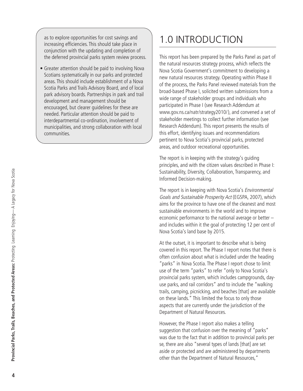as to explore opportunities for cost savings and increasing efficiencies. This should take place in conjunction with the updating and completion of the deferred provincial parks system review process.

• Greater attention should be paid to involving Nova Scotians systematically in our parks and protected areas. This should include establishment of a Nova Scotia Parks and Trails Advisory Board, and of local park advisory boards. Partnerships in park and trail development and management should be encouraged, but clearer guidelines for these are needed. Particular attention should be paid to interdepartmental co-ordination, involvement of municipalities, and strong collaboration with local communities.

# 1.0 INTRODUCTION

This report has been prepared by the Parks Panel as part of the natural resources strategy process, which reflects the Nova Scotia Government's commitment to developing a new natural resources strategy. Operating within Phase II of the process, the Parks Panel reviewed materials from the broad-based Phase I, solicited written submissions from a wide range of stakeholder groups and individuals who participated in Phase I (see Research Addendum at www.gov.ns.ca/natr/strategy2010/), and convened a set of stakeholder meetings to collect further information (see Research Addendum). This report presents the results of this effort, identifying issues and recommendations pertinent to Nova Scotia's provincial parks, protected areas, and outdoor recreational opportunities.

The report is in keeping with the strategy's guiding principles, and with the citizen values described in Phase I: Sustainability, Diversity, Collaboration, Transparency, and Informed Decision-making.

The report is in keeping with Nova Scotia's *Environmental* Goals and Sustainable Prosperity Act (EGSPA, 2007), which aims for the province to have one of the cleanest and most sustainable environments in the world and to improve economic performance to the national average or better – and includes within it the goal of protecting 12 per cent of Nova Scotia's land base by 2015.

At the outset, it is important to describe what is being covered in this report. The Phase I report notes that there is often confusion about what is included under the heading "parks" in Nova Scotia. The Phase I report chose to limit use of the term "parks" to refer "only to Nova Scotia's provincial parks system, which includes campgrounds, dayuse parks, and rail corridors" and to include the "walking trails, camping, picnicking, and beaches [that] are available on these lands." This limited the focus to only those aspects that are currently under the jurisdiction of the Department of Natural Resources.

However, the Phase I report also makes a telling suggestion that confusion over the meaning of "parks" was due to the fact that in addition to provincial parks per se, there are also "several types of lands [that] are set aside or protected and are administered by departments other than the Department of Natural Resources,"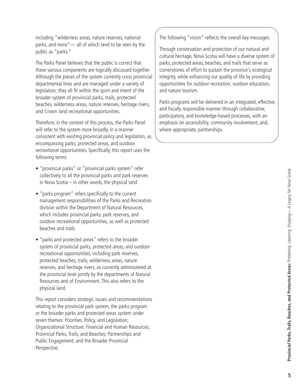including "wilderness areas, nature reserves, national parks, and more"— all of which tend to be seen by the public as "parks."

The Parks Panel believes that the public is correct that these various components are logically discussed together. Although the pieces of the system currently cross provincial departmental lines and are managed under a variety of legislation, they all fit within the spirit and intent of the broader system of provincial parks, trails, protected beaches, wilderness areas, nature reserves, heritage rivers, and Crown land recreational opportunities.

Therefore, in the context of this process, the Parks Panel will refer to the system more broadly, in a manner consistent with existing provincial policy and legislation, as encompassing parks, protected areas, and outdoor recreational opportunities. Specifically, this report uses the following terms:

- "provincial parks" or "provincial parks system" refer collectively to all the provincial parks and park reserves in Nova Scotia – in other words, the physical land
- "parks program" refers specifically to the current management responsibilities of the Parks and Recreation division within the Department of Natural Resources, which includes provincial parks, park reserves, and outdoor recreational opportunities, as well as protected beaches and trails
- "parks and protected areas" refers to the broader system of provincial parks, protected areas, and outdoor recreational opportunities, including park reserves, protected beaches, trails, wilderness areas, nature reserves, and heritage rivers, as currently administered at the provincial level jointly by the departments of Natural Resources and of Environment. This also refers to the physical land.

This report considers strategic issues and recommendations relating to the provincial park system, the parks program or the broader parks and protected areas system under seven themes: Priorities, Policy, and Legislation; Organizational Structure; Financial and Human Resources; Provincial Parks, Trails, and Beaches; Partnerships and Public Engagement; and the Broader Provincial Perspective.

The following "vision" reflects the overall key messages:

Through conservation and protection of our natural and cultural heritage, Nova Scotia will have a diverse system of parks, protected areas, beaches, and trails that serve as cornerstones of effort to sustain the province's ecological integrity, while enhancing our quality of life by providing opportunities for outdoor recreation, outdoor education, and nature tourism.

Parks programs will be delivered in an integrated, effective, and fiscally responsible manner through collaborative, participatory, and knowledge-based processes, with an emphasis on accessibility, community involvement, and, where appropriate, partnerships.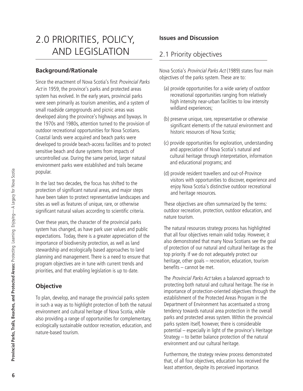# 2.0 PRIORITIES, POLICY, AND LEGISLATION

### **Background/Rationale**

Since the enactment of Nova Scotia's first Provincial Parks Act in 1959, the province's parks and protected areas system has evolved. In the early years, provincial parks were seen primarily as tourism amenities, and a system of small roadside campgrounds and picnic areas was developed along the province's highways and byways. In the 1970s and 1980s, attention turned to the provision of outdoor recreational opportunities for Nova Scotians. Coastal lands were acquired and beach parks were developed to provide beach-access facilities and to protect sensitive beach and dune systems from impacts of uncontrolled use. During the same period, larger natural environment parks were established and trails became popular.

In the last two decades, the focus has shifted to the protection of significant natural areas, and major steps have been taken to protect representative landscapes and sites as well as features of unique, rare, or otherwise significant natural values according to scientific criteria.

Over these years, the character of the provincial parks system has changed, as have park user values and public expectations. Today, there is a greater appreciation of the importance of biodiversity protection, as well as land stewardship and ecologically based approaches to land planning and management. There is a need to ensure that program objectives are in tune with current trends and priorities, and that enabling legislation is up to date.

## **Objective**

To plan, develop, and manage the provincial parks system in such a way as to highlight protection of both the natural environment and cultural heritage of Nova Scotia, while also providing a range of opportunities for complementary, ecologically sustainable outdoor recreation, education, and nature-based tourism.

## **Issues and Discussion**

## 2.1 Priority objectives

Nova Scotia's Provincial Parks Act (1989) states four main objectives of the parks system. These are to:

- (a) provide opportunities for a wide variety of outdoor recreational opportunities ranging from relatively high intensity near-urban facilities to low intensity wildland experiences;
- (b) preserve unique, rare, representative or otherwise significant elements of the natural environment and historic resources of Nova Scotia;
- (c) provide opportunities for exploration, understanding and appreciation of Nova Scotia's natural and cultural heritage through interpretation, information and educational programs; and
- (d) provide resident travellers and out-of-Province visitors with opportunities to discover, experience and enjoy Nova Scotia's distinctive outdoor recreational and heritage resources.

These objectives are often summarized by the terms: outdoor recreation, protection, outdoor education, and nature tourism.

The natural resources strategy process has highlighted that all four objectives remain valid today. However, it also demonstrated that many Nova Scotians see the goal of protection of our natural and cultural heritage as the top priority. If we do not adequately protect our heritage, other goals – recreation, education, tourism benefits – cannot be met.

The Provincial Parks Act takes a balanced approach to protecting both natural and cultural heritage. The rise in importance of protection-oriented objectives through the establishment of the Protected Areas Program in the Department of Environment has accentuated a strong tendency towards natural area protection in the overall parks and protected areas system.Within the provincial parks system itself, however, there is considerable potential – especially in light of the province's Heritage Strategy – to better balance protection of the natural environment and our cultural heritage.

Furthermore, the strategy review process demonstrated that, of all four objectives, education has received the least attention, despite its perceived importance.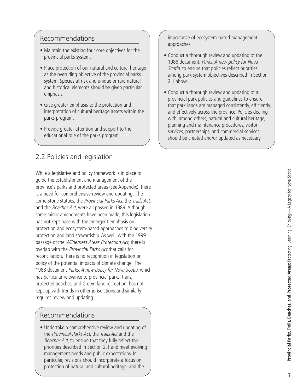### Recommendations

- Maintain the existing four core objectives for the provincial parks system.
- Place protection of our natural and cultural heritage as the overriding objective of the provincial parks system. Species at risk and unique or rare natural and historical elements should be given particular emphasis.
- Give greater emphasis to the protection and interpretation of cultural heritage assets within the parks program.
- Provide greater attention and support to the educational role of the parks program.

## 2.2 Policies and legislation

While a legislative and policy framework is in place to guide the establishment and management of the province's parks and protected areas (see Appendix), there is a need for comprehensive review and updating. The cornerstone statues, the Provincial Parks Act, the Trails Act, and the Beaches Act, were all passed in 1989. Although some minor amendments have been made, this legislation has not kept pace with the emergent emphasis on protection and ecosystem-based approaches to biodiversity protection and land stewardship. As well, with the 1999 passage of the Wilderness Areas Protection Act, there is overlap with the Provincial Parks Act that calls for reconciliation. There is no recognition in legislation or policy of the potential impacts of climate change. The 1988 document Parks: A new policy for Nova Scotia, which has particular relevance to provincial parks, trails, protected beaches, and Crown land recreation, has not kept up with trends in other jurisdictions and similarly requires review and updating.

## Recommendations

• Undertake a comprehensive review and updating of the Provincial Parks Act, the Trails Act and the Beaches Act, to ensure that they fully reflect the priorities described in Section 2.1 and meet evolving management needs and public expectations. In particular, revisions should incorporate a focus on protection of natural and cultural heritage, and the

importance of ecosystem-based management approaches.

- Conduct a thorough review and updating of the 1988 document, Parks: A new policy for Nova Scotia, to ensure that policies reflect priorities among park system objectives described in Section 2.1 above.
- Conduct a thorough review and updating of all provincial park policies and guidelines to ensure that park lands are managed consistently, efficiently, and effectively across the province. Policies dealing with, among others, natural and cultural heritage, planning and maintenance procedures, visitor services, partnerships, and commercial services should be created and/or updated as necessary.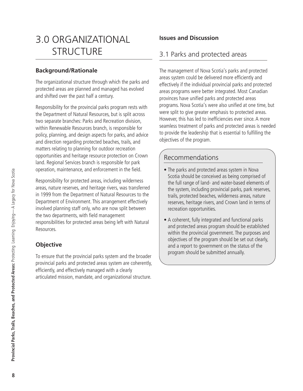# 3.0 ORGANIZATIONAL **STRUCTURE**

### **Background/Rationale**

The organizational structure through which the parks and protected areas are planned and managed has evolved and shifted over the past half a century.

Responsibility for the provincial parks program rests with the Department of Natural Resources, but is split across two separate branches: Parks and Recreation division, within Renewable Resources branch, is responsible for policy, planning, and design aspects for parks, and advice and direction regarding protected beaches, trails, and matters relating to planning for outdoor recreation opportunities and heritage resource protection on Crown land. Regional Services branch is responsible for park operation, maintenance, and enforcement in the field.

Responsibility for protected areas, including wilderness areas, nature reserves, and heritage rivers, was transferred in 1999 from the Department of Natural Resources to the Department of Environment. This arrangement effectively involved planning staff only, who are now split between the two departments, with field management responsibilities for protected areas being left with Natural Resources.

## **Objective**

To ensure that the provincial parks system and the broader provincial parks and protected areas system are coherently, efficiently, and effectively managed with a clearly articulated mission, mandate, and organizational structure.

### **Issues and Discussion**

## 3.1 Parks and protected areas

The management of Nova Scotia's parks and protected areas system could be delivered more efficiently and effectively if the individual provincial parks and protected areas programs were better integrated. Most Canadian provinces have unified parks and protected areas programs. Nova Scotia's were also unified at one time, but were split to give greater emphasis to protected areas. However, this has led to inefficiencies ever since. A more seamless treatment of parks and protected areas is needed to provide the leadership that is essential to fulfilling the objectives of the program.

## Recommendations

- The parks and protected areas system in Nova Scotia should be conceived as being comprised of the full range of land- and water-based elements of the system, including provincial parks, park reserves, trails, protected beaches, wilderness areas, nature reserves, heritage rivers, and Crown land in terms of recreation opportunities.
- A coherent, fully integrated and functional parks and protected areas program should be established within the provincial government. The purposes and objectives of the program should be set out clearly, and a report to government on the status of the program should be submitted annually.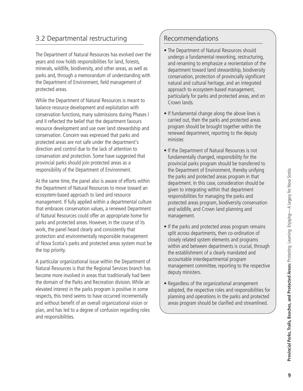## 3.2 Departmental restructuring

The Department of Natural Resources has evolved over the years and now holds responsibilities for land, forests, minerals, wildlife, biodiversity, and other areas, as well as parks and, through a memorandum of understanding with the Department of Environment, field management of protected areas.

While the Department of Natural Resources is meant to balance resource development and exploitation with conservation functions, many submissions during Phases I and II reflected the belief that the department favours resource development and use over land stewardship and conservation. Concern was expressed that parks and protected areas are not safe under the department's direction and control due to the lack of attention to conservation and protection. Some have suggested that provincial parks should join protected areas as a responsibility of the Department of Environment.

At the same time, the panel also is aware of efforts within the Department of Natural Resources to move toward an ecosystem-based approach to land and resource management. If fully applied within a departmental culture that embraces conservation values, a renewed Department of Natural Resources could offer an appropriate home for parks and protected areas. However, in the course of its work, the panel heard clearly and consistently that protection and environmentally responsible management of Nova Scotia's parks and protected areas system must be the top priority.

A particular organizational issue within the Department of Natural Resources is that the Regional Services branch has become more involved in areas that traditionally had been the domain of the Parks and Recreation division.While an elevated interest in the parks program is positive in some respects, this trend seems to have occurred incrementally and without benefit of an overall organizational vision or plan, and has led to a degree of confusion regarding roles and responsibilities.

## Recommendations

- The Department of Natural Resources should undergo a fundamental reworking, restructuring, and renaming to emphasize a reorientation of the department toward land stewardship, biodiversity conservation, protection of provincially significant natural and cultural heritage, and an integrated approach to ecosystem-based management, particularly for parks and protected areas, and on Crown lands.
- If fundamental change along the above lines is carried out, then the parks and protected areas program should be brought together within the renewed department, reporting to the deputy minister.
- If the Department of Natural Resources is not fundamentally changed, responsibility for the provincial parks program should be transferred to the Department of Environment, thereby unifying the parks and protected areas program in that department. In this case, consideration should be given to integrating within that department responsibilities for managing the parks and protected areas program, biodiversity conservation and wildlife, and Crown land planning and management.
- If the parks and protected areas program remains split across departments, then co-ordination of closely related system elements and programs within and between departments is crucial, through the establishment of a clearly mandated and accountable interdepartmental program management committee, reporting to the respective deputy ministers.
- Regardless of the organizational arrangement adopted, the respective roles and responsibilities for planning and operations in the parks and protected areas program should be clarified and streamlined.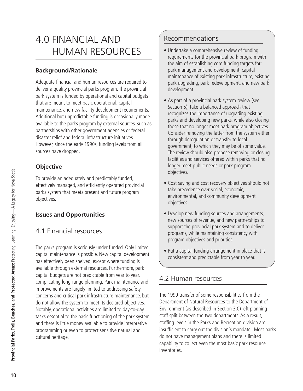# 4.0 FINANCIAL AND HUMAN RESOURCES

## **Background/Rationale**

Adequate financial and human resources are required to deliver a quality provincial parks program. The provincial park system is funded by operational and capital budgets that are meant to meet basic operational, capital maintenance, and new facility development requirements. Additional but unpredictable funding is occasionally made available to the parks program by external sources, such as partnerships with other government agencies or federal disaster relief and federal infrastructure initiatives. However, since the early 1990s, funding levels from all sources have dropped.

## **Objective**

To provide an adequately and predictably funded, effectively managed, and efficiently operated provincial parks system that meets present and future program objectives.

### **Issues and Opportunities**

## 4.1 Financial resources

The parks program is seriously under funded. Only limited capital maintenance is possible. New capital development has effectively been shelved, except where funding is available through external resources. Furthermore, park capital budgets are not predictable from year to year, complicating long-range planning. Park maintenance and improvements are largely limited to addressing safety concerns and critical park infrastructure maintenance, but do not allow the system to meet its declared objectives. Notably, operational activities are limited to day-to-day tasks essential to the basic functioning of the park system, and there is little money available to provide interpretive programming or even to protect sensitive natural and cultural heritage.

## Recommendations

- Undertake a comprehensive review of funding requirements for the provincial park program with the aim of establishing core funding targets for: park management and development, capital maintenance of existing park infrastructure, existing park upgrading, park redevelopment, and new park development.
- As part of a provincial park system review (see Section 5), take a balanced approach that recognizes the importance of upgrading existing parks and developing new parks, while also closing those that no longer meet park program objectives. Consider removing the latter from the system either through deregulation or transfer to local government, to which they may be of some value. The review should also propose removing or closing facilities and services offered within parks that no longer meet public needs or park program objectives.
- Cost saving and cost recovery objectives should not take precedence over social, economic, environmental, and community development objectives.
- Develop new funding sources and arrangements, new sources of revenue, and new partnerships to support the provincial park system and to deliver programs, while maintaining consistency with program objectives and priorities.
- Put a capital funding arrangement in place that is consistent and predictable from year to year.

## 4.2 Human resources

The 1999 transfer of some responsibilities from the Department of Natural Resources to the Department of Environment (as described in Section 3.0) left planning staff split between the two departments. As a result, staffing levels in the Parks and Recreation division are insufficient to carry out the division's mandate. Most parks do not have management plans and there is limited capability to collect even the most basic park resource inventories.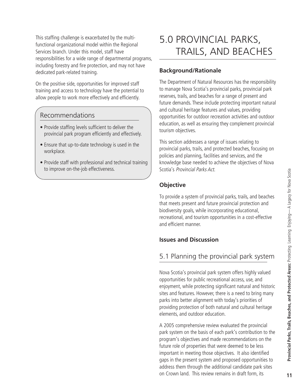This staffing challenge is exacerbated by the multifunctional organizational model within the Regional Services branch. Under this model, staff have responsibilities for a wide range of departmental programs, including forestry and fire protection, and may not have dedicated park-related training.

On the positive side, opportunities for improved staff training and access to technology have the potential to allow people to work more effectively and efficiently.

### Recommendations

- Provide staffing levels sufficient to deliver the provincial park program efficiently and effectively.
- Ensure that up-to-date technology is used in the workplace.
- Provide staff with professional and technical training to improve on-the-job effectiveness.

# 5.0 PROVINCIAL PARKS, TRAILS, AND BEACHES

#### **Background/Rationale**

The Department of Natural Resources has the responsibility to manage Nova Scotia's provincial parks, provincial park reserves, trails, and beaches for a range of present and future demands. These include protecting important natural and cultural heritage features and values, providing opportunities for outdoor recreation activities and outdoor education, as well as ensuring they complement provincial tourism objectives.

This section addresses a range of issues relating to provincial parks, trails, and protected beaches, focusing on policies and planning, facilities and services, and the knowledge base needed to achieve the objectives of Nova Scotia's Provincial Parks Act.

#### **Objective**

To provide a system of provincial parks, trails, and beaches that meets present and future provincial protection and biodiversity goals, while incorporating educational, recreational, and tourism opportunities in a cost-effective and efficient manner.

#### **Issues and Discussion**

## 5.1 Planning the provincial park system

Nova Scotia's provincial park system offers highly valued opportunities for public recreational access, use, and enjoyment, while protecting significant natural and historic sites and features. However, there is a need to bring many parks into better alignment with today's priorities of providing protection of both natural and cultural heritage elements, and outdoor education.

A 2005 comprehensive review evaluated the provincial park system on the basis of each park's contribution to the program's objectives and made recommendations on the future role of properties that were deemed to be less important in meeting those objectives. It also identified gaps in the present system and proposed opportunities to address them through the additional candidate park sites on Crown land. This review remains in draft form, its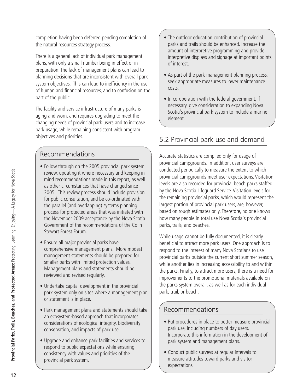completion having been deferred pending completion of the natural resources strategy process.

There is a general lack of individual park management plans, with only a small number being in effect or in preparation. The lack of management plans can lead to planning decisions that are inconsistent with overall park system objectives. This can lead to inefficiency in the use of human and financial resources, and to confusion on the part of the public.

The facility and service infrastructure of many parks is aging and worn, and requires upgrading to meet the changing needs of provincial park users and to increase park usage, while remaining consistent with program objectives and priorities.

## Recommendations

- Follow through on the 2005 provincial park system review, updating it where necessary and keeping in mind recommendations made in this report, as well as other circumstances that have changed since 2005. This review process should include provision for public consultation, and be co-ordinated with the parallel (and overlapping) systems planning process for protected areas that was initiated with the November 2009 acceptance by the Nova Scotia Government of the recommendations of the Colin Stewart Forest Forum.
- Ensure all major provincial parks have comprehensive management plans. More modest management statements should be prepared for smaller parks with limited protection values. Management plans and statements should be reviewed and revised regularly.
- Undertake capital development in the provincial park system only on sites where a management plan or statement is in place.
- Park management plans and statements should take an ecosystem-based approach that incorporates considerations of ecological integrity, biodiversity conservation, and impacts of park use.
- Upgrade and enhance park facilities and services to respond to public expectations while ensuring consistency with values and priorities of the provincial park system.
- The outdoor education contribution of provincial parks and trails should be enhanced. Increase the amount of interpretive programming and provide interpretive displays and signage at important points of interest.
- As part of the park management planning process, seek appropriate measures to lower maintenance costs.
- In co-operation with the federal government, if necessary, give consideration to expanding Nova Scotia's provincial park system to include a marine element.

## 5.2 Provincial park use and demand

Accurate statistics are compiled only for usage of provincial campgrounds. In addition, user surveys are conducted periodically to measure the extent to which provincial campgrounds meet user expectations. Visitation levels are also recorded for provincial beach parks staffed by the Nova Scotia Lifeguard Service. Visitation levels for the remaining provincial parks, which would represent the largest portion of provincial park users, are, however, based on rough estimates only. Therefore, no one knows how many people in total use Nova Scotia's provincial parks, trails, and beaches.

While usage cannot be fully documented, it is clearly beneficial to attract more park users. One approach is to respond to the interest of many Nova Scotians to use provincial parks outside the current short summer season, while another lies in increasing accessibility to and within the parks. Finally, to attract more users, there is a need for improvements to the promotional materials available on the parks system overall, as well as for each individual park, trail, or beach.

## Recommendations

- Put procedures in place to better measure provincial park use, including numbers of day users. Incorporate this information in the development of park system and management plans.
- Conduct public surveys at regular intervals to measure attitudes toward parks and visitor expectations.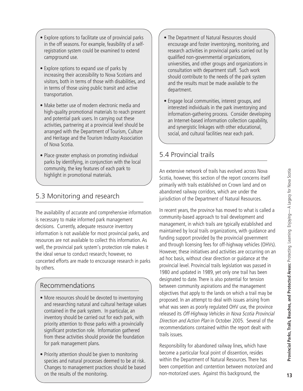- Explore options to facilitate use of provincial parks in the off seasons. For example, feasibility of a selfregistration system could be examined to extend campground use.
- Explore options to expand use of parks by increasing their accessibility to Nova Scotians and visitors, both in terms of those with disabilities, and in terms of those using public transit and active transportation.
- Make better use of modern electronic media and high-quality promotional materials to reach present and potential park users. In carrying out these activities, partnering at a provincial level should be arranged with the Department of Tourism, Culture and Heritage and the Tourism Industry Association of Nova Scotia.
- Place greater emphasis on promoting individual parks by identifying, in conjunction with the local community, the key features of each park to highlight in promotional materials.

## 5.3 Monitoring and research

The availability of accurate and comprehensive information is necessary to make informed park management decisions. Currently, adequate resource inventory information is not available for most provincial parks, and resources are not available to collect this information. As well, the provincial park system's protection role makes it the ideal venue to conduct research; however, no concerted efforts are made to encourage research in parks by others.

## Recommendations

- More resources should be devoted to inventorying and researching natural and cultural heritage values contained in the park system. In particular, an inventory should be carried out for each park, with priority attention to those parks with a provincially significant protection role. Information gathered from these activities should provide the foundation for park management plans.
- Priority attention should be given to monitoring species and natural processes deemed to be at risk. Changes to management practices should be based on the results of the monitoring.
- The Department of Natural Resources should encourage and foster inventorying, monitoring, and research activities in provincial parks carried out by qualified non-governmental organizations, universities, and other groups and organizations in consultation with department staff. Such work should contribute to the needs of the park system and the results must be made available to the department.
- Engage local communities, interest groups, and interested individuals in the park inventorying and information-gathering process. Consider developing an Internet-based information collection capability, and synergistic linkages with other educational, social, and cultural facilities near each park.

## 5.4 Provincial trails

An extensive network of trails has evolved across Nova Scotia, however, this section of the report concerns itself primarily with trails established on Crown land and on abandoned railway corridors, which are under the jurisdiction of the Department of Natural Resources.

In recent years, the province has moved to what is called a community-based approach to trail development and management, in which trails are typically established and maintained by local trails organizations, with guidance and funding support provided by the provincial government and through licensing fees for off-highway vehicles (OHVs). However, these initiatives and activities are occurring on an ad hoc basis, without clear direction or guidance at the provincial level. Provincial trails legislation was passed in 1980 and updated in 1989, yet only one trail has been designated to date. There is also potential for tension between community aspirations and the management objectives that apply to the lands on which a trail may be proposed. In an attempt to deal with issues arising from what was seen as poorly regulated OHV use, the province released its Off-Highway Vehicles in Nova Scotia Provincial Direction and Action Plan in October 2005. Several of the recommendations contained within the report dealt with trails issues.

Responsibility for abandoned railway lines, which have become a particular focal point of dissention, resides within the Department of Natural Resources. There has been competition and contention between motorized and non-motorized users. Against this background, the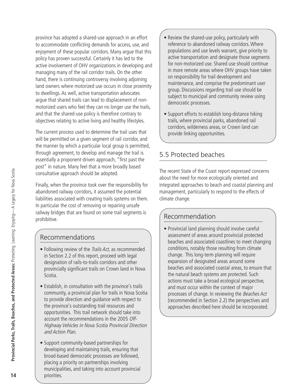province has adopted a shared-use approach in an effort to accommodate conflicting demands for access, use, and enjoyment of these popular corridors. Many argue that this policy has proven successful. Certainly it has led to the active involvement of OHV organizations in developing and managing many of the rail corridor trails. On the other hand, there is continuing controversy involving adjoining land owners where motorized use occurs in close proximity to dwellings. As well, active transportation advocates argue that shared trails can lead to displacement of nonmotorized users who feel they can no longer use the trails, and that the shared-use policy is therefore contrary to objectives relating to active living and healthy lifestyles.

The current process used to determine the trail uses that will be permitted on a given segment of rail corridor, and the manner by which a particular local group is permitted, through agreement, to develop and manage the trail is essentially a proponent-driven approach, "first past the post" in nature. Many feel that a more broadly based consultative approach should be adopted.

Finally, when the province took over the responsibility for abandoned railway corridors, it assumed the potential liabilities associated with creating trails systems on them. In particular the cost of removing or repairing unsafe railway bridges that are found on some trail segments is prohibitive.

## Recommendations

- Following review of the *Trails Act*, as recommended in Section 2.2 of this report, proceed with legal designation of rails-to-trails corridors and other provincially significant trails on Crown land in Nova Scotia.
- Establish, in consultation with the province's trails community, a provincial plan for trails in Nova Scotia to provide direction and guidance with respect to the province's outstanding trail resources and opportunities. This trail network should take into account the recommendations in the 2005 Off-Highway Vehicles in Nova Scotia Provincial Direction and Action Plan.
- Support community-based partnerships for developing and maintaining trails, ensuring that broad-based democratic processes are followed, placing a priority on partnerships involving municipalities, and taking into account provincial priorities.
- Review the shared-use policy, particularly with reference to abandoned railway corridors.Where populations and use levels warrant, give priority to active transportation and designate those segments for non-motorized use. Shared use should continue in more remote areas where OHV groups have taken on responsibility for trail development and maintenance, and comprise the predominant user group. Discussions regarding trail use should be subject to municipal and community review using democratic processes.
- Support efforts to establish long-distance hiking trails, where provincial parks, abandoned rail corridors, wilderness areas, or Crown land can provide linking opportunities.

## 5.5 Protected beaches

The recent State of the Coast report expressed concerns about the need for more ecologically oriented and integrated approaches to beach and coastal planning and management, particularly to respond to the effects of climate change.

## Recommendation

• Provincial land planning should involve careful assessment of areas around provincial protected beaches and associated coastlines to meet changing conditions, notably those resulting from climate change. This long-term planning will require expansion of designated areas around some beaches and associated coastal areas, to ensure that the natural beach systems are protected. Such actions must take a broad ecological perspective, and must occur within the context of major processes of change. In reviewing the Beaches Act (recommended in Section 2.2) the perspectives and approaches described here should be incorporated.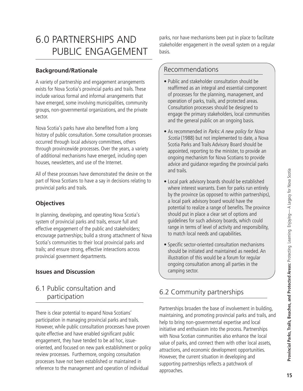# 6.0 PARTNERSHIPS AND PUBLIC ENGAGEMENT

### **Background/Rationale**

A variety of partnership and engagement arrangements exists for Nova Scotia's provincial parks and trails. These include various formal and informal arrangements that have emerged, some involving municipalities, community groups, non-governmental organizations, and the private sector.

Nova Scotia's parks have also benefited from a long history of public consultation. Some consultation processes occurred through local advisory committees, others through provincewide processes. Over the years, a variety of additional mechanisms have emerged, including open houses, newsletters, and use of the Internet.

All of these processes have demonstrated the desire on the part of Nova Scotians to have a say in decisions relating to provincial parks and trails.

### **Objectives**

In planning, developing, and operating Nova Scotia's system of provincial parks and trails, ensure full and effective engagement of the public and stakeholders; encourage partnerships; build a strong attachment of Nova Scotia's communities to their local provincial parks and trails; and ensure strong, effective interactions across provincial government departments.

#### **Issues and Discussion**

## 6.1 Public consultation and participation

There is clear potential to expand Nova Scotians' participation in managing provincial parks and trails. However, while public consultation processes have proven quite effective and have enabled significant public engagement, they have tended to be ad hoc, issueoriented, and focused on new park establishment or policy review processes. Furthermore, ongoing consultation processes have not been established or maintained in reference to the management and operation of individual

parks, nor have mechanisms been put in place to facilitate stakeholder engagement in the overall system on a regular basis.

## Recommendations

- Public and stakeholder consultation should be reaffirmed as an integral and essential component of processes for the planning, management, and operation of parks, trails, and protected areas. Consultation processes should be designed to engage the primary stakeholders, local communities and the general public on an ongoing basis.
- As recommended in Parks: A new policy for Nova Scotia (1988) but not implemented to date, a Nova Scotia Parks and Trails Advisory Board should be appointed, reporting to the minister, to provide an ongoing mechanism for Nova Scotians to provide advice and guidance regarding the provincial parks and trails.
- Local park advisory boards should be established where interest warrants. Even for parks run entirely by the province (as opposed to within partnerships), a local park advisory board would have the potential to realize a range of benefits. The province should put in place a clear set of options and guidelines for such advisory boards, which could range in terms of level of activity and responsibility, to match local needs and capabilities.
- Specific sector-oriented consultation mechanisms should be initiated and maintained as needed. An illustration of this would be a forum for regular ongoing consultation among all parties in the camping sector.

## 6.2 Community partnerships

Partnerships broaden the base of involvement in building, maintaining, and promoting provincial parks and trails, and help to bring non-governmental expertise and local initiative and enthusiasm into the process. Partnerships with Nova Scotian communities also enhance the local value of parks, and connect them with other local assets, attractions, and economic development opportunities. However, the current situation in developing and supporting partnerships reflects a patchwork of approaches.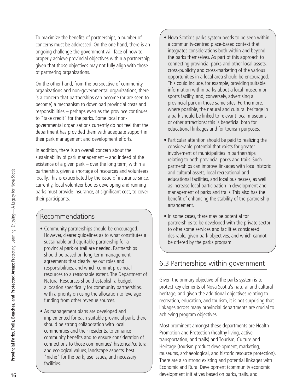To maximize the benefits of partnerships, a number of concerns must be addressed. On the one hand, there is an ongoing challenge the government will face of how to properly achieve provincial objectives within a partnership, given that those objectives may not fully align with those of partnering organizations.

On the other hand, from the perspective of community organizations and non-governmental organizations, there is a concern that partnerships can become (or are seen to become) a mechanism to download provincial costs and responsibilities – perhaps even as the province continues to "take credit" for the parks. Some local nongovernmental organizations currently do not feel that the department has provided them with adequate support in their park management and development efforts.

In addition, there is an overall concern about the sustainability of park management – and indeed of the existence of a given park – over the long term, within a partnership, given a shortage of resources and volunteers locally. This is exacerbated by the issue of insurance since, currently, local volunteer bodies developing and running parks must provide insurance, at significant cost, to cover their participants.

## Recommendations

- Community partnerships should be encouraged. However, clearer guidelines as to what constitutes a sustainable and equitable partnership for a provincial park or trail are needed. Partnerships should be based on long-term management agreements that clearly lay out roles and responsibilities, and which commit provincial resources to a reasonable extent. The Department of Natural Resources should establish a budget allocation specifically for community partnerships, with a priority on using the allocation to leverage funding from other revenue sources.
- As management plans are developed and implemented for each suitable provincial park, there should be strong collaboration with local communities and their residents, to enhance community benefits and to ensure consideration of connections to those communities' historical/cultural and ecological values, landscape aspects, best "niche" for the park, use issues, and necessary facilities.
- Nova Scotia's parks system needs to be seen within a community-centred place-based context that integrates considerations both within and beyond the parks themselves. As part of this approach to connecting provincial parks and other local assets, cross-publicity and cross-marketing of the various opportunities in a local area should be encouraged. This could include, for example, providing suitable information within parks about a local museum or sports facility, and, conversely, advertising a provincial park in those same sites. Furthermore, where possible, the natural and cultural heritage in a park should be linked to relevant local museums or other attractions; this is beneficial both for educational linkages and for tourism purposes.
- Particular attention should be paid to realizing the considerable potential that exists for greater involvement of municipalities in partnerships relating to both provincial parks and trails. Such partnerships can improve linkages with local historic and cultural assets, local recreational and educational facilities, and local businesses, as well as increase local participation in development and management of parks and trails. This also has the benefit of enhancing the stability of the partnership arrangement.
- In some cases, there may be potential for partnerships to be developed with the private sector to offer some services and facilities considered desirable, given park objectives, and which cannot be offered by the parks program.

## 6.3 Partnerships within government

Given the primary objective of the parks system is to protect key elements of Nova Scotia's natural and cultural heritage, and given the additional objectives relating to recreation, education, and tourism, it is not surprising that linkages across many provincial departments are crucial to achieving program objectives.

Most prominent amongst these departments are Health Promotion and Protection (healthy living, active transportation, and trails) and Tourism, Culture and Heritage (tourism product development, marketing, museums, archaeological, and historic resource protection). There are also strong existing and potential linkages with Economic and Rural Development (community economic development initiatives based on parks, trails, and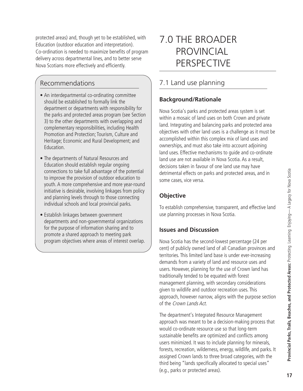protected areas) and, though yet to be established, with Education (outdoor education and interpretation). Co-ordination is needed to maximize benefits of program delivery across departmental lines, and to better serve Nova Scotians more effectively and efficiently.

## Recommendations

- An interdepartmental co-ordinating committee should be established to formally link the department or departments with responsibility for the parks and protected areas program (see Section 3) to the other departments with overlapping and complementary responsibilities, including Health Promotion and Protection; Tourism, Culture and Heritage; Economic and Rural Development; and Education.
- The departments of Natural Resources and Education should establish regular ongoing connections to take full advantage of the potential to improve the provision of outdoor education to youth. A more comprehensive and more year-round initiative is desirable, involving linkages from policy and planning levels through to those connecting individual schools and local provincial parks.
- Establish linkages between government departments and non-governmental organizations for the purpose of information sharing and to promote a shared approach to meeting park program objectives where areas of interest overlap.

# 7.0 THE BROADER **PROVINCIAL** PERSPECTIVE

## 7.1 Land use planning

## **Background/Rationale**

Nova Scotia's parks and protected areas system is set within a mosaic of land uses on both Crown and private land. Integrating and balancing parks and protected area objectives with other land uses is a challenge as it must be accomplished within this complex mix of land uses and ownerships, and must also take into account adjoining land uses. Effective mechanisms to guide and co-ordinate land use are not available in Nova Scotia. As a result, decisions taken in favour of one land use may have detrimental effects on parks and protected areas, and in some cases, vice versa.

### **Objective**

To establish comprehensive, transparent, and effective land use planning processes in Nova Scotia.

### **Issues and Discussion**

Nova Scotia has the second-lowest percentage (24 per cent) of publicly owned land of all Canadian provinces and territories. This limited land base is under ever-increasing demands from a variety of land and resource uses and users. However, planning for the use of Crown land has traditionally tended to be equated with forest management planning, with secondary considerations given to wildlife and outdoor recreation uses. This approach, however narrow, aligns with the purpose section of the Crown Lands Act.

The department's Integrated Resource Management approach was meant to be a decision-making process that would co-ordinate resource use so that long-term sustainable benefits are optimized and conflicts among users minimized. It was to include planning for minerals, forests, recreation, wilderness, energy, wildlife, and parks. It assigned Crown lands to three broad categories, with the third being "lands specifically allocated to special uses" (e.g., parks or protected areas).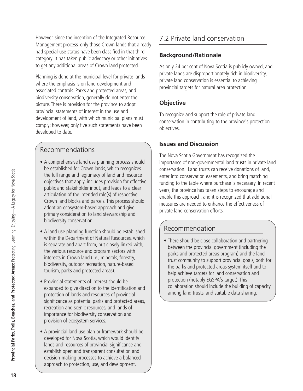However, since the inception of the Integrated Resource Management process, only those Crown lands that already had special-use status have been classified in that third category. It has taken public advocacy or other initiatives to get any additional areas of Crown land protected.

Planning is done at the municipal level for private lands where the emphasis is on land development and associated controls. Parks and protected areas, and biodiversity conservation, generally do not enter the picture. There is provision for the province to adopt provincial statements of interest in the use and development of land, with which municipal plans must comply; however, only five such statements have been developed to date.

## Recommendations

- A comprehensive land use planning process should be established for Crown lands, which recognizes the full range and legitimacy of land and resource objectives that apply, includes provision for effective public and stakeholder input, and leads to a clear articulation of the intended role(s) of respective Crown land blocks and parcels. This process should adopt an ecosystem-based approach and give primary consideration to land stewardship and biodiversity conservation.
- A land use planning function should be established within the Department of Natural Resources, which is separate and apart from, but closely linked with, the various resource and program sectors with interests in Crown land (i.e., minerals, forestry, biodiversity, outdoor recreation, nature-based tourism, parks and protected areas).
- Provincial statements of interest should be expanded to give direction to the identification and protection of lands and resources of provincial significance as potential parks and protected areas, recreation and scenic resources, and lands of importance for biodiversity conservation and provision of ecosystem services.
- A provincial land use plan or framework should be developed for Nova Scotia, which would identify lands and resources of provincial significance and establish open and transparent consultation and decision-making processes to achieve a balanced approach to protection, use, and development.

## 7.2 Private land conservation

### **Background/Rationale**

As only 24 per cent of Nova Scotia is publicly owned, and private lands are disproportionately rich in biodiversity, private land conservation is essential to achieving provincial targets for natural area protection.

## **Objective**

To recognize and support the role of private land conservation in contributing to the province's protection objectives.

### **Issues and Discussion**

The Nova Scotia Government has recognized the importance of non-governmental land trusts in private land conservation. Land trusts can receive donations of land, enter into conservation easements, and bring matching funding to the table where purchase is necessary. In recent years, the province has taken steps to encourage and enable this approach, and it is recognized that additional measures are needed to enhance the effectiveness of private land conservation efforts.

## Recommendation

• There should be close collaboration and partnering between the provincial government (including the parks and protected areas program) and the land trust community to support provincial goals, both for the parks and protected areas system itself and to help achieve targets for land conservation and protection (notably EGSPA's target). This collaboration should include the building of capacity among land trusts, and suitable data sharing.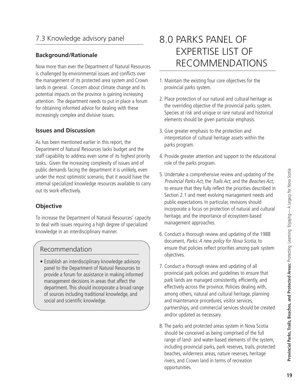## 7.3 Knowledge advisory panel

#### **Background/Rationale**

Now more than ever the Department of Natural Resources is challenged by environmental issues and conflicts over the management of its protected area system and Crown lands in general. Concern about climate change and its potential impacts on the province is gaining increasing attention. The department needs to put in place a forum for obtaining informed advice for dealing with these increasingly complex and divisive issues.

#### **Issues and Discussion**

As has been mentioned earlier in this report, the Department of Natural Resources lacks budget and the staff capability to address even some of its highest priority tasks. Given the increasing complexity of issues and of public demands facing the department it is unlikely, even under the most optimistic scenario, that it would have the internal specialized knowledge resources available to carry out its work effectively.

#### **Objective**

To increase the Department of Natural Resources' capacity to deal with issues requiring a high degree of specialized knowledge in an interdisciplinary manner.

### Recommendation

• Establish an interdisciplinary knowledge advisory panel to the Department of Natural Resources to provide a forum for assistance in making informed management decisions in areas that affect the department. This should incorporate a broad range of sources including traditional knowledge, and social and scientific knowledge.

# 8.0 PARKS PANEL OF EXPERTISE LIST OF RECOMMENDATIONS

- 1. Maintain the existing four core objectives for the provincial parks system.
- 2. Place protection of our natural and cultural heritage as the overriding objective of the provincial parks system. Species at risk and unique or rare natural and historical elements should be given particular emphasis.
- 3. Give greater emphasis to the protection and interpretation of cultural heritage assets within the parks program.
- 4. Provide greater attention and support to the educational role of the parks program.
- 5. Undertake a comprehensive review and updating of the Provincial Parks Act, the Trails Act, and the Beaches Act, to ensure that they fully reflect the priorities described in Section 2.1 and meet evolving management needs and public expectations. In particular, revisions should incorporate a focus on protection of natural and cultural heritage, and the importance of ecosystem-based management approaches.
- 6. Conduct a thorough review and updating of the 1988 document, Parks: <sup>A</sup> new policy for Nova Scotia, to ensure that policies reflect priorities among park system objectives.
- 7. Conduct a thorough review and updating of all provincial park policies and guidelines to ensure that park lands are managed consistently, efficiently, and effectively across the province. Policies dealing with, among others, natural and cultural heritage, planning and maintenance procedures, visitor services, partnerships, and commercial services should be created and/or updated as necessary.
- 8. The parks and protected areas system in Nova Scotia should be conceived as being comprised of the full range of land- and water-based elements of the system, including provincial parks, park reserves, trails, protected beaches, wilderness areas, nature reserves, heritage rivers, and Crown land in terms of recreation opportunities.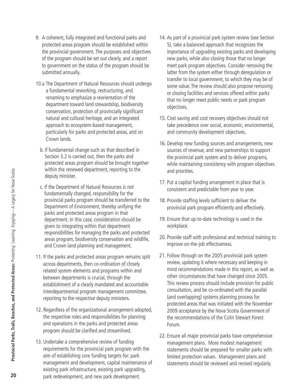- 9. A coherent, fully integrated and functional parks and protected areas program should be established within the provincial government. The purposes and objectives of the program should be set out clearly, and a report to government on the status of the program should be submitted annually.
- 10.a The Department of Natural Resources should undergo a fundamental reworking, restructuring, and renaming to emphasize a reorientation of the department toward land stewardship, biodiversity conservation, protection of provincially significant natural and cultural heritage, and an integrated approach to ecosystem-based management, particularly for parks and protected areas, and on Crown lands.
	- b. If fundamental change such as that described in Section 3.2 is carried out, then the parks and protected areas program should be brought together within the renewed department, reporting to the deputy minister.
- c. If the Department of Natural Resources is not fundamentally changed, responsibility for the provincial parks program should be transferred to the Department of Environment, thereby unifying the parks and protected areas program in that department. In this case, consideration should be given to integrating within that department responsibilities for managing the parks and protected areas program, biodiversity conservation and wildlife, and Crown land planning and management.
- 11. If the parks and protected areas program remains split across departments, then co-ordination of closely related system elements and programs within and between departments is crucial, through the establishment of a clearly mandated and accountable interdepartmental program management committee, reporting to the respective deputy ministers.
- 12. Regardless of the organizational arrangement adopted, the respective roles and responsibilities for planning and operations in the parks and protected areas program should be clarified and streamlined.
- 13. Undertake a comprehensive review of funding requirements for the provincial park program with the aim of establishing core funding targets for: park management and development, capital maintenance of existing park infrastructure, existing park upgrading, park redevelopment, and new park development.
- 14. As part of a provincial park system review (see Section 5), take a balanced approach that recognizes the importance of upgrading existing parks and developing new parks, while also closing those that no longer meet park program objectives. Consider removing the latter from the system either through deregulation or transfer to local government, to which they may be of some value. The review should also propose removing or closing facilities and services offered within parks that no longer meet public needs or park program objectives.
- 15. Cost saving and cost recovery objectives should not take precedence over social, economic, environmental, and community development objectives.
- 16. Develop new funding sources and arrangements, new sources of revenue, and new partnerships to support the provincial park system and to deliver programs, while maintaining consistency with program objectives and priorities.
- 17. Put a capital funding arrangement in place that is consistent and predictable from year to year.
- 18. Provide staffing levels sufficient to deliver the provincial park program efficiently and effectively.
- 19. Ensure that up-to-date technology is used in the workplace.
- 20. Provide staff with professional and technical training to improve on-the-job effectiveness.
- 21. Follow through on the 2005 provincial park system review, updating it where necessary and keeping in mind recommendations made in this report, as well as other circumstances that have changed since 2005. This review process should include provision for public consultation, and be co-ordinated with the parallel (and overlapping) systems planning process for protected areas that was initiated with the November 2009 acceptance by the Nova Scotia Government of the recommendations of the Colin Stewart Forest Forum.
- 22. Ensure all major provincial parks have comprehensive management plans. More modest management statements should be prepared for smaller parks with limited protection values. Management plans and statements should be reviewed and revised regularly.

Legacy for Nova Scotia

**20**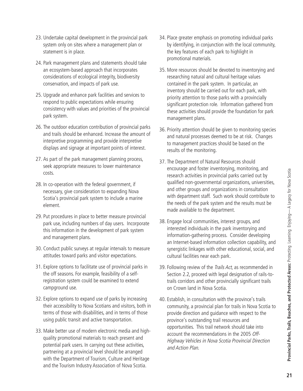- 23. Undertake capital development in the provincial park system only on sites where a management plan or statement is in place.
- 24. Park management plans and statements should take an ecosystem-based approach that incorporates considerations of ecological integrity, biodiversity conservation, and impacts of park use.
- 25. Upgrade and enhance park facilities and services to respond to public expectations while ensuring consistency with values and priorities of the provincial park system.
- 26. The outdoor education contribution of provincial parks and trails should be enhanced. Increase the amount of interpretive programming and provide interpretive displays and signage at important points of interest.
- 27. As part of the park management planning process, seek appropriate measures to lower maintenance costs.
- 28. In co-operation with the federal government, if necessary, give consideration to expanding Nova Scotia's provincial park system to include a marine element.
- 29. Put procedures in place to better measure provincial park use, including numbers of day users. Incorporate this information in the development of park system and management plans.
- 30. Conduct public surveys at regular intervals to measure attitudes toward parks and visitor expectations.
- 31. Explore options to facilitate use of provincial parks in the off seasons. For example, feasibility of a selfregistration system could be examined to extend campground use.
- 32. Explore options to expand use of parks by increasing their accessibility to Nova Scotians and visitors, both in terms of those with disabilities, and in terms of those using public transit and active transportation.
- 33. Make better use of modern electronic media and highquality promotional materials to reach present and potential park users. In carrying out these activities, partnering at a provincial level should be arranged with the Department of Tourism, Culture and Heritage and the Tourism Industry Association of Nova Scotia.
- 34. Place greater emphasis on promoting individual parks by identifying, in conjunction with the local community, the key features of each park to highlight in promotional materials.
- 35. More resources should be devoted to inventorying and researching natural and cultural heritage values contained in the park system. In particular, an inventory should be carried out for each park, with priority attention to those parks with a provincially significant protection role. Information gathered from these activities should provide the foundation for park management plans.
- 36. Priority attention should be given to monitoring species and natural processes deemed to be at risk. Changes to management practices should be based on the results of the monitoring.
- 37. The Department of Natural Resources should encourage and foster inventorying, monitoring, and research activities in provincial parks carried out by qualified non-governmental organizations, universities, and other groups and organizations in consultation with department staff. Such work should contribute to the needs of the park system and the results must be made available to the department.
- 38. Engage local communities, interest groups, and interested individuals in the park inventorying and information-gathering process. Consider developing an Internet-based information collection capability, and synergistic linkages with other educational, social, and cultural facilities near each park.
- 39. Following review of the *Trails Act*, as recommended in Section 2.2, proceed with legal designation of rails-totrails corridors and other provincially significant trails on Crown land in Nova Scotia.
- 40. Establish, in consultation with the province's trails community, a provincial plan for trails in Nova Scotia to provide direction and guidance with respect to the province's outstanding trail resources and opportunities. This trail network should take into account the recommendations in the 2005 Off-Highway Vehicles in Nova Scotia Provincial Direction and Action Plan.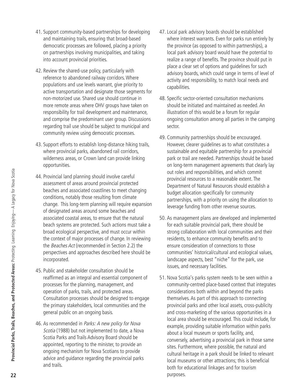- 41. Support community-based partnerships for developing and maintaining trails, ensuring that broad-based democratic processes are followed, placing a priority on partnerships involving municipalities, and taking into account provincial priorities.
- 42. Review the shared-use policy, particularly with reference to abandoned railway corridors.Where populations and use levels warrant, give priority to active transportation and designate those segments for non-motorized use. Shared use should continue in more remote areas where OHV groups have taken on responsibility for trail development and maintenance, and comprise the predominant user group. Discussions regarding trail use should be subject to municipal and community review using democratic processes.
- 43. Support efforts to establish long-distance hiking trails, where provincial parks, abandoned rail corridors, wilderness areas, or Crown land can provide linking opportunities.
- 44. Provincial land planning should involve careful assessment of areas around provincial protected beaches and associated coastlines to meet changing conditions, notably those resulting from climate change. This long-term planning will require expansion of designated areas around some beaches and associated coastal areas, to ensure that the natural beach systems are protected. Such actions must take a broad ecological perspective, and must occur within the context of major processes of change. In reviewing the Beaches Act (recommended in Section 2.2) the perspectives and approaches described here should be incorporated.
- 45. Public and stakeholder consultation should be reaffirmed as an integral and essential component of processes for the planning, management, and operation of parks, trails, and protected areas. Consultation processes should be designed to engage the primary stakeholders, local communities and the general public on an ongoing basis.
- 46. As recommended in Parks: <sup>A</sup> new policy for Nova Scotia (1988) but not implemented to date, a Nova Scotia Parks and Trails Advisory Board should be appointed, reporting to the minister, to provide an ongoing mechanism for Nova Scotians to provide advice and guidance regarding the provincial parks and trails.
- 47. Local park advisory boards should be established where interest warrants. Even for parks run entirely by the province (as opposed to within partnerships), a local park advisory board would have the potential to realize a range of benefits. The province should put in place a clear set of options and guidelines for such advisory boards, which could range in terms of level of activity and responsibility, to match local needs and capabilities.
- 48. Specific sector-oriented consultation mechanisms should be initiated and maintained as needed. An illustration of this would be a forum for regular ongoing consultation among all parties in the camping sector.
- 49. Community partnerships should be encouraged. However, clearer guidelines as to what constitutes a sustainable and equitable partnership for a provincial park or trail are needed. Partnerships should be based on long-term management agreements that clearly lay out roles and responsibilities, and which commit provincial resources to a reasonable extent. The Department of Natural Resources should establish a budget allocation specifically for community partnerships, with a priority on using the allocation to leverage funding from other revenue sources.
- 50. As management plans are developed and implemented for each suitable provincial park, there should be strong collaboration with local communities and their residents, to enhance community benefits and to ensure consideration of connections to those communities' historical/cultural and ecological values, landscape aspects, best "niche" for the park, use issues, and necessary facilities.
- 51. Nova Scotia's parks system needs to be seen within a community-centred place-based context that integrates considerations both within and beyond the parks themselves. As part of this approach to connecting provincial parks and other local assets, cross-publicity and cross-marketing of the various opportunities in a local area should be encouraged. This could include, for example, providing suitable information within parks about a local museum or sports facility, and, conversely, advertising a provincial park in those same sites. Furthermore, where possible, the natural and cultural heritage in a park should be linked to relevant local museums or other attractions; this is beneficial both for educational linkages and for tourism purposes.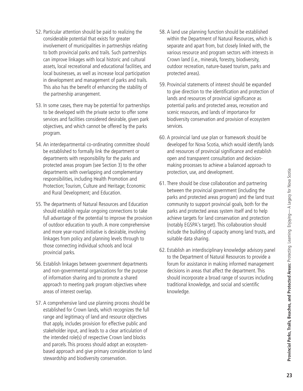- 52. Particular attention should be paid to realizing the considerable potential that exists for greater involvement of municipalities in partnerships relating to both provincial parks and trails. Such partnerships can improve linkages with local historic and cultural assets, local recreational and educational facilities, and local businesses, as well as increase local participation in development and management of parks and trails. This also has the benefit of enhancing the stability of the partnership arrangement.
- 53. In some cases, there may be potential for partnerships to be developed with the private sector to offer some services and facilities considered desirable, given park objectives, and which cannot be offered by the parks program.
- 54. An interdepartmental co-ordinating committee should be established to formally link the department or departments with responsibility for the parks and protected areas program (see Section 3) to the other departments with overlapping and complementary responsibilities, including Health Promotion and Protection; Tourism, Culture and Heritage; Economic and Rural Development; and Education.
- 55. The departments of Natural Resources and Education should establish regular ongoing connections to take full advantage of the potential to improve the provision of outdoor education to youth. A more comprehensive and more year-round initiative is desirable, involving linkages from policy and planning levels through to those connecting individual schools and local provincial parks.
- 56. Establish linkages between government departments and non-governmental organizations for the purpose of information sharing and to promote a shared approach to meeting park program objectives where areas of interest overlap.
- 57. A comprehensive land use planning process should be established for Crown lands, which recognizes the full range and legitimacy of land and resource objectives that apply, includes provision for effective public and stakeholder input, and leads to a clear articulation of the intended role(s) of respective Crown land blocks and parcels. This process should adopt an ecosystembased approach and give primary consideration to land stewardship and biodiversity conservation.
- 58. A land use planning function should be established within the Department of Natural Resources, which is separate and apart from, but closely linked with, the various resource and program sectors with interests in Crown land (i.e., minerals, forestry, biodiversity, outdoor recreation, nature-based tourism, parks and protected areas).
- 59. Provincial statements of interest should be expanded to give direction to the identification and protection of lands and resources of provincial significance as potential parks and protected areas, recreation and scenic resources, and lands of importance for biodiversity conservation and provision of ecosystem services.
- 60. A provincial land use plan or framework should be developed for Nova Scotia, which would identify lands and resources of provincial significance and establish open and transparent consultation and decisionmaking processes to achieve a balanced approach to protection, use, and development.
- 61. There should be close collaboration and partnering between the provincial government (including the parks and protected areas program) and the land trust community to support provincial goals, both for the parks and protected areas system itself and to help achieve targets for land conservation and protection (notably EGSPA's target). This collaboration should include the building of capacity among land trusts, and suitable data sharing.
- 62. Establish an interdisciplinary knowledge advisory panel to the Department of Natural Resources to provide a forum for assistance in making informed management decisions in areas that affect the department. This should incorporate a broad range of sources including traditional knowledge, and social and scientific knowledge.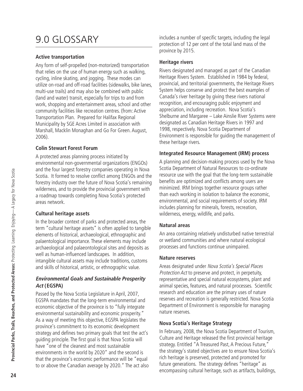# 9.0 GLOSSARY

#### **Active transportation**

Any form of self-propelled (non-motorized) transportation that relies on the use of human energy such as walking, cycling, inline skating, and jogging. These modes can utilize on-road and off-road facilities (sidewalks, bike lanes, multi-use trails) and may also be combined with public (land and water) transit, especially for trips to and from work, shopping and entertainment areas, school and other community facilities like recreation centres. (from: Active Transportation Plan. Prepared for Halifax Regional Municipality by SGE Acres Limited in association with Marshall, Macklin Monaghan and Go For Green. August, 2006).

#### **Colin Stewart Forest Forum**

A protected areas planning process initiated by environmental non-governmental organizations (ENGOs) and the four largest forestry companies operating in Nova Scotia. It formed to resolve conflict among ENGOs and the forestry industry over the future of Nova Scotia's remaining wilderness, and to provide the provincial government with a roadmap towards completing Nova Scotia's protected areas network.

#### **Cultural heritage assets**

In the broader context of parks and protected areas, the term "cultural heritage assets" is often applied to tangible elements of historical, archaeological, ethnographic and palaentological importance. These elements may include archaeological and palaeontological sites and deposits as well as human-influenced landscapes. In addition, intangible cultural assets may include traditions, customs and skills of historical, artistic, or ethnographic value.

#### **Environmental Goals and Sustainable Prosperity Act (EGSPA)**

Passed by the Nova Scotia Legislature in April, 2007, EGSPA mandates that the long-term environmental and economic objective of the province is to "fully integrate environmental sustainability and economic prosperity." As a way of meeting this objective, EGSPA legislates the province's commitment to its economic development strategy and defines two primary goals that test the act's guiding principle. The first goal is that Nova Scotia will have "one of the cleanest and most sustainable environments in the world by 2020" and the second is that the province's economic performance will be "equal to or above the Canadian average by 2020." The act also includes a number of specific targets, including the legal protection of 12 per cent of the total land mass of the province by 2015.

#### **Heritage rivers**

Rivers designated and managed as part of the Canadian Heritage Rivers System. Established in 1984 by federal, provincial, and territorial governments, the Heritage Rivers System helps conserve and protect the best examples of Canada's river heritage by giving these rivers national recognition, and encouraging public enjoyment and appreciation, including recreation. Nova Scotia's Shelburne and Margaree – Lake Ainslie River Systems were designated as Canadian Heritage Rivers in 1997 and 1998, respectively. Nova Scotia Department of Environment is responsible for guiding the management of these heritage rivers.

#### **Integrated Resource Management (IRM) process**

A planning and decision-making process used by the Nova Scotia Department of Natural Resources to co-ordinate resource use with the goal that the long-term sustainable benefits are optimized and conflicts among users are minimized. IRM brings together resource groups rather than each working in isolation to balance the economic, environmental, and social requirements of society. IRM includes planning for minerals, forests, recreation, wilderness, energy, wildlife, and parks.

#### **Natural areas**

An area containing relatively undisturbed native terrestrial or wetland communities and where natural ecological processes and functions continue unimpaired.

#### **Nature reserves**

Areas designated under Nova Scotia's Special Places Protection Act to preserve and protect, in perpetuity, representative and special natural ecosystems, plant and animal species, features, and natural processes. Scientific research and education are the primary uses of nature reserves and recreation is generally restricted. Nova Scotia Department of Environment is responsible for managing nature reserves.

### **Nova Scotia's Heritage Strategy**

In February, 2008, the Nova Scotia Department of Tourism, Culture and Heritage released the first provincial heritage strategy. Entitled "A Treasured Past, A Precious Future," the strategy's stated objectives are to ensure Nova Scotia's rich heritage is preserved, protected and promoted for future generations. The strategy defines "heritage" as encompassing cultural heritage, such as artifacts, buildings,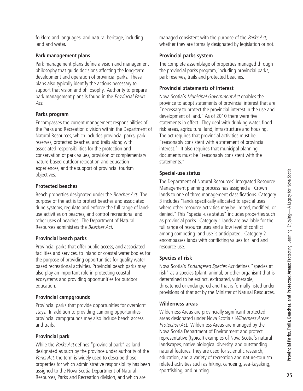folklore and languages, and natural heritage, including land and water.

#### **Park management plans**

Park management plans define a vision and management philosophy that guide decisions affecting the long-term development and operation of provincial parks. These plans also typically identify the actions necessary to support that vision and philosophy. Authority to prepare park management plans is found in the Provincial Parks Act.

#### **Parks program**

Encompasses the current management responsibilities of the Parks and Recreation division within the Department of Natural Resources, which includes provincial parks, park reserves, protected beaches, and trails along with associated responsibilities for the protection and conservation of park values, provision of complementary nature-based outdoor recreation and education experiences, and the support of provincial tourism objectives.

#### **Protected beaches**

Beach properties designated under the Beaches Act. The purpose of the act is to protect beaches and associated dune systems, regulate and enforce the full range of landuse activities on beaches, and control recreational and other uses of beaches. The Department of Natural Resources administers the Beaches Act.

#### **Provincial beach parks**

Provincial parks that offer public access, and associated facilities and services, to inland or coastal water bodies for the purpose of providing opportunities for quality waterbased recreational activities. Provincial beach parks may also play an important role in protecting coastal ecosystems and providing opportunities for outdoor education.

#### **Provincial campgrounds**

Provincial parks that provide opportunities for overnight stays. In addition to providing camping opportunities, provincial campgrounds may also include beach access and trails.

#### **Provincial park**

While the Parks Act defines "provincial park" as land designated as such by the province under authority of the Parks Act, the term is widely used to describe those properties for which administrative responsibility has been assigned to the Nova Scotia Department of Natural Resources, Parks and Recreation division, and which are

managed consistent with the purpose of the Parks Act, whether they are formally designated by legislation or not.

#### **Provincial parks system**

The complete assemblage of properties managed through the provincial parks program, including provincial parks, park reserves, trails and protected beaches.

#### **Provincial statements of interest**

Nova Scotia's Municipal Government Act enables the province to adopt statements of provincial interest that are "necessary to protect the provincial interest in the use and development of land." As of 2010 there were five statements in effect. They deal with drinking water, flood risk areas, agricultural land, infrastructure and housing. The act requires that provincial activities must be "reasonably consistent with a statement of provincial interest." It also requires that municipal planning documents must be "reasonably consistent with the statements."

#### **Special-use status**

The Department of Natural Resources' Integrated Resource Management planning process has assigned all Crown lands to one of three management classifications. Category 3 includes "lands specifically allocated to special uses where other resource activities may be limited, modified, or denied." This "special-use status" includes properties such as provincial parks. Category 1 lands are available for the full range of resource uses and a low level of conflict among competing land use is anticipated. Category 2 encompasses lands with conflicting values for land and resource use.

#### **Species at risk**

Nova Scotia's Endangered Species Act defines "species at risk" as a species (plant, animal, or other organism) that is determined to be extinct, extirpated, vulnerable, threatened or endangered and that is formally listed under provisions of that act by the Minister of Natural Resources.

#### **Wilderness areas**

Wilderness Areas are provincially significant protected areas designated under Nova Scotia's Wilderness Areas Protection Act. Wilderness Areas are managed by the Nova Scotia Department of Environment and protect representative (typical) examples of Nova Scotia's natural landscapes, native biological diversity, and outstanding natural features. They are used for scientific research, education, and a variety of recreation and nature-tourism related activities such as hiking, canoeing, sea-kayaking, sportfishing, and hunting.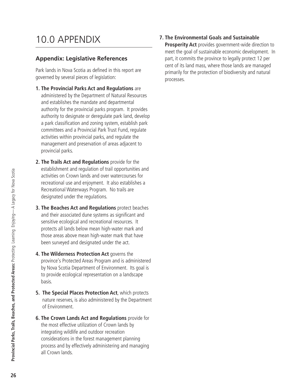# 10.0 APPENDIX

#### **Appendix: Legislative References**

Park lands in Nova Scotia as defined in this report are governed by several pieces of legislation:

- **1. The Provincial Parks Act and Regulations** are administered by the Department of Natural Resources and establishes the mandate and departmental authority for the provincial parks program. It provides authority to designate or deregulate park land, develop a park classification and zoning system, establish park committees and a Provincial Park Trust Fund, regulate activities within provincial parks, and regulate the management and preservation of areas adjacent to provincial parks.
- **2. The Trails Act and Regulations** provide for the establishment and regulation of trail opportunities and activities on Crown lands and over watercourses for recreational use and enjoyment. It also establishes a Recreational Waterways Program. No trails are designated under the regulations.
- **3. The Beaches Act and Regulations** protect beaches and their associated dune systems as significant and sensitive ecological and recreational resources. It protects all lands below mean high-water mark and those areas above mean high-water mark that have been surveyed and designated under the act.
- **4. The Wilderness Protection Act** governs the province's Protected Areas Program and is administered by Nova Scotia Department of Environment. Its goal is to provide ecological representation on a landscape basis.
- **5. The Special Places Protection Act**, which protects nature reserves, is also administered by the Department of Environment.
- **6. The Crown Lands Act and Regulations** provide for the most effective utilization of Crown lands by integrating wildlife and outdoor recreation considerations in the forest management planning process and by effectively administering and managing all Crown lands.

**7. The Environmental Goals and Sustainable**

**Prosperity Act** provides government-wide direction to meet the goal of sustainable economic development. In part, it commits the province to legally protect 12 per cent of its land mass, where those lands are managed primarily for the protection of biodiversity and natural processes.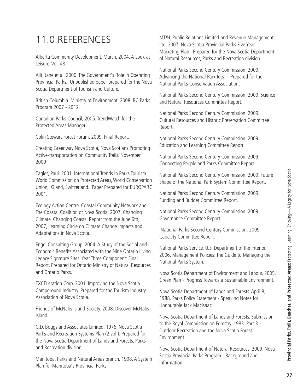# 11.0 REFERENCES

Alberta Community Development, March, 2004. A Look at Leisure. Vol. 48.

Allt, Jane et al. 2000. The Government's Role in Operating Provincial Parks. Unpublished paper prepared for the Nova Scotia Department of Tourism and Culture.

British Columbia. Ministry of Environment. 2008. BC Parks Program 2007 - 2012.

Canadian Parks Council, 2005. TrendWatch for the Protected Areas Manager.

Colin Stewart Forest Forum. 2009. Final Report.

Creating Greenway Nova Scotia, Nova Scotians Promoting Active-transportation on Community Trails. November 2009

Eagles, Paul. 2001. International Trends in Parks Tourism. World Commission on Protected Areas, World Conservation Union, Gland, Switzerland. Paper Prepared for EUROPARC 2001.

Ecology Action Centre, Coastal Community Network and The Coastal Coalition of Nova Scotia. 2007. Changing Climate, Changing Coasts: Report from the June 6th, 2007, Learning Circle on Climate Change Impacts and Adaptations in Nova Scotia.

Engel Consulting Group. 2004. A Study of the Social and Economic Benefits Associated with the Nine Ontario Living Legacy Signature Sites. Year Three Component: Final Report. Prepared for Ontario Ministry of Natural Resources and Ontario Parks.

EXCELeration Corp. 2001. Improving the Nova Scotia Campground Industry. Prepared for the Tourism Industry Association of Nova Scotia.

Friends of McNabs Island Society. 2008. Discover McNabs Island.

G.D. Boggs and Associates Limited. 1976. Nova Scotia Parks and Recreation Systems Plan (2 vol.). Prepared for the Nova Scotia Department of Lands and Forests, Parks and Recreation division.

Manitoba. Parks and Natural Areas branch. 1998. A System Plan for Manitoba's Provincial Parks.

MT&L Public Relations Limited and Revenue Management Ltd. 2007. Nova Scotia Provincial Parks Five Year Marketing Plan. Prepared for the Nova Scotia Department of Natural Resources, Parks and Recreation division.

National Parks Second Century Commission. 2009. Advancing the National Park Idea. Prepared for the National Parks Conservation Association.

National Parks Second Century Commission. 2009. Science and Natural Resources Committee Report.

National Parks Second Century Commission. 2009. Cultural Resources and Historic Preservation Committee Report.

National Parks Second Century Commission. 2009. Education and Learning Committee Report.

National Parks Second Century Commission. 2009. Connecting People and Parks Committee Report.

National Parks Second Century Commission. 2009. Future Shape of the National Park System Committee Report.

National Parks Second Century Commission. 2009. Funding and Budget Committee Report.

National Parks Second Century Commission. 2009. Governance Committee Report.

National Parks Second Century Commission. 2009. Capacity Committee Report.

National Parks Service, U.S. Department of the Interior. 2006. Management Policies: The Guide to Managing the National Parks System.

Nova Scotia Department of Environment and Labour. 2005. Green Plan - Progress Towards a Sustainable Environment.

Nova Scotia Department of Lands and Forests. April 8, 1988. Parks Policy Statement - Speaking Notes for Honourable Jack MacIsaac.

Nova Scotia Department of Lands and Forests. Submission to the Royal Commission on Forestry. 1983. Part 3 - Outdoor Recreation and the Nova Scotia Forest Environment.

Nova Scotia Department of Natural Resources. 2009. Nova Scotia Provincial Parks Program - Background and Information.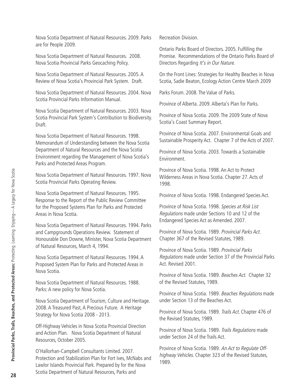Nova Scotia Department of Natural Resources. 2008. Nova Scotia Provincial Parks Geocaching Policy.

are for People 2009.

Nova Scotia Department of Natural Resources. 2005. A Review of Nova Scotia's Provincial Park System. Draft.

Nova Scotia Department of Natural Resources. 2009. Parks

Nova Scotia Department of Natural Resources. 2004. Nova Scotia Provincial Parks Information Manual.

Nova Scotia Department of Natural Resources. 2003. Nova Scotia Provincial Park System's Contribution to Biodiversity. Draft.

Nova Scotia Department of Natural Resources. 1998. Memorandum of Understanding between the Nova Scotia Department of Natural Resources and the Nova Scotia Environment regarding the Management of Nova Scotia's Parks and Protected Areas Program.

Nova Scotia Department of Natural Resources. 1997. Nova Scotia Provincial Parks Operating Review.

Nova Scotia Department of Natural Resources. 1995. Response to the Report of the Public Review Committee for the Proposed Systems Plan for Parks and Protected Areas in Nova Scotia.

Nova Scotia Department of Natural Resources. 1994. Parks and Campgrounds Operations Review. Statement of Honourable Don Downe, Minister, Nova Scotia Department of Natural Resources, March 4, 1994.

Nova Scotia Department of Natural Resources. 1994. A Proposed System Plan for Parks and Protected Areas in Nova Scotia.

Nova Scotia Department of Natural Resources. 1988. Parks: A new policy for Nova Scotia.

Nova Scotia Department of Tourism, Culture and Heritage. 2008. A Treasured Past, A Precious Future. A Heritage Strategy for Nova Scotia 2008 - 2013.

Off-Highway Vehicles in Nova Scotia Provincial Direction and Action Plan. Nova Scotia Department of Natural Resources, October 2005.

O'Hallorhan-Campbell Consultants Limited. 2007. Protection and Stabilization Plan for Fort Ives, McNabs and Lawlor Islands Provincial Park. Prepared by for the Nova Scotia Department of Natural Resources, Parks and

Recreation Division.

Ontario Parks Board of Directors. 2005. Fulfilling the Promise. Recommendations of the Ontario Parks Board of Directors Regarding It's in Our Nature.

On the Front Lines: Strategies for Healthy Beaches in Nova Scotia, Sadie Beaton, Ecology Action Centre March 2009

Parks Forum. 2008. The Value of Parks.

Province of Alberta. 2009. Alberta's Plan for Parks.

Province of Nova Scotia. 2009. The 2009 State of Nova Scotia's Coast Summary Report.

Province of Nova Scotia. 2007. Environmental Goals and Sustainable Prosperity Act. Chapter 7 of the Acts of 2007.

Province of Nova Scotia. 2003. Towards a Sustainable Environment.

Province of Nova Scotia. 1998. An Act to Protect Wilderness Areas in Nova Scotia. Chapter 27. Acts of 1998.

Province of Nova Scotia. 1998. Endangered Species Act.

Province of Nova Scotia. 1998. Species at Risk List Regulations made under Sections 10 and 12 of the Endangered Species Act as Amended. 2007.

Province of Nova Scotia. 1989. Provincial Parks Act. Chapter 367 of the Revised Statutes, 1989.

Province of Nova Scotia. 1989. Provincial Parks Regulations made under Section 37 of the Provincial Parks Act. Revised 2001.

Province of Nova Scotia. 1989. Beaches Act. Chapter 32 of the Revised Statutes, 1989.

Province of Nova Scotia. 1989. Beaches Regulations made under Section 13 of the Beaches Act.

Province of Nova Scotia. 1989. Trails Act. Chapter 476 of the Revised Statutes, 1989.

Province of Nova Scotia. 1989. Trails Regulations made under Section 24 of the Trails Act.

Province of Nova Scotia. 1989. An Act to Regulate Offhighway Vehicles. Chapter 323 of the Revised Statutes, 1989.